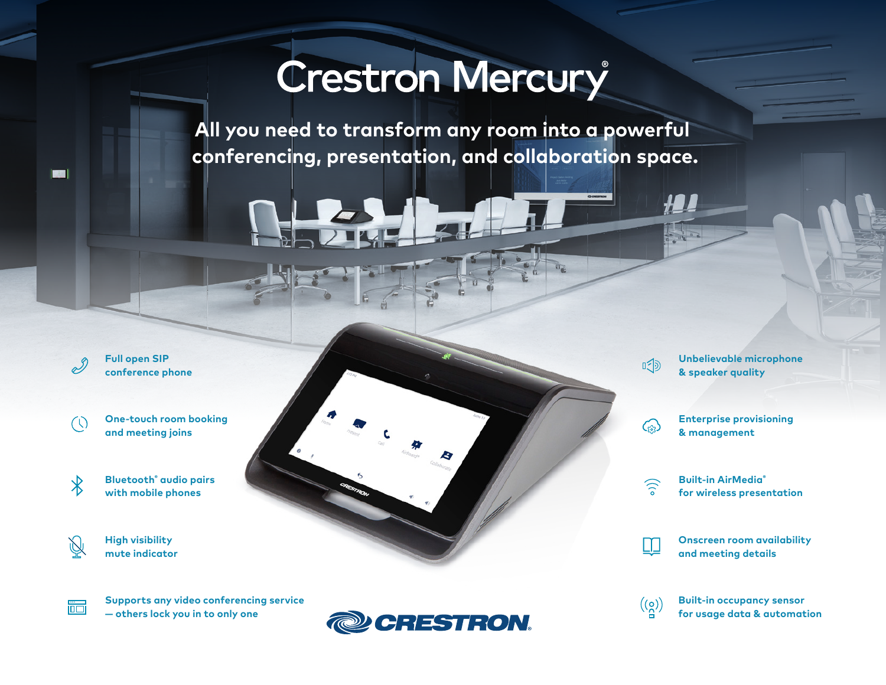# **Crestron Mercury**

**All you need to transform any room into a powerful conferencing, presentation, and collaboration space.**

 $\mathscr{S}$ **Full open SIP conference phone**

 $(\mathcal{C})$ 

屙

**ISBN** 

**One-touch room booking and meeting joins**

 $\overline{\mathbf{X}}$ **Bluetooth® audio pairs with mobile phones**

> **High visibility mute indicator**

**Supports any video conferencing service — others lock you in to only one**



**Unbelievable microphone & speaker quality**



 $\mathbb{I}^{\leq}$ 

**Enterprise provisioning & management**

 $\binom{1}{0}$ 

 $=$   $\frac{1}{10}$   $\frac{1}{10}$ 

**Built-in AirMedia® for wireless presentation**

**Onscreen room availability and meeting details**

 $((8))$ 

**Built-in occupancy sensor for usage data & automation**